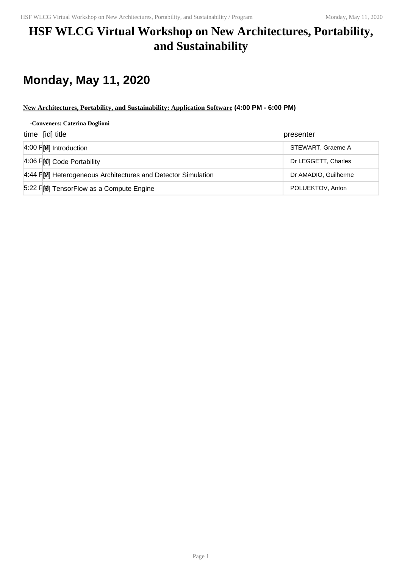### **HSF WLCG Virtual Workshop on New Architectures, Portability, and Sustainability**

# **Monday, May 11, 2020**

### **New Architectures, Portability, and Sustainability: Application Software (4:00 PM - 6:00 PM)**

#### **-Conveners: Caterina Doglioni**

| time [id] title                                             | presenter            |
|-------------------------------------------------------------|----------------------|
| $\vert 4:00 \vert \vec{r} \vert 8\rangle$ Introduction      | STEWART, Graeme A    |
| 4:06 FM Code Portability                                    | Dr LEGGETT, Charles  |
| 4:44 FM Heterogeneous Architectures and Detector Simulation | Dr AMADIO, Guilherme |
| 5:22 FM TensorFlow as a Compute Engine                      | POLUEKTOV, Anton     |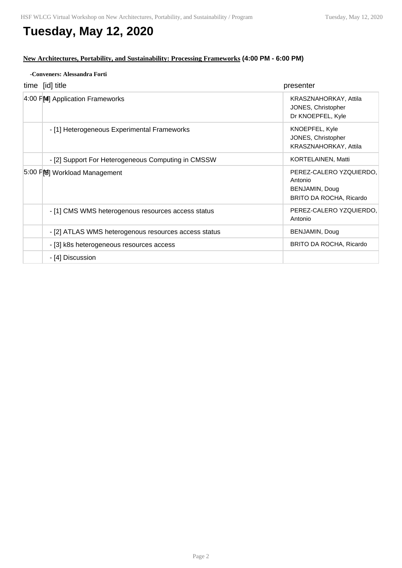### **Tuesday, May 12, 2020**

#### **New Architectures, Portability, and Sustainability: Processing Frameworks (4:00 PM - 6:00 PM)**

| -Conveners: Alessandra Forti                         |                                                                                 |
|------------------------------------------------------|---------------------------------------------------------------------------------|
| time [id] title                                      | presenter                                                                       |
| 4:00 FM Application Frameworks                       | KRASZNAHORKAY, Attila<br>JONES, Christopher<br>Dr KNOEPFEL, Kyle                |
| - [1] Heterogeneous Experimental Frameworks          | KNOEPFEL, Kyle<br>JONES, Christopher<br>KRASZNAHORKAY, Attila                   |
| - [2] Support For Heterogeneous Computing in CMSSW   | KORTELAINEN, Matti                                                              |
| 5:00 FM Workload Management                          | PEREZ-CALERO YZQUIERDO,<br>Antonio<br>BENJAMIN, Doug<br>BRITO DA ROCHA, Ricardo |
| - [1] CMS WMS heterogenous resources access status   | PEREZ-CALERO YZQUIERDO,<br>Antonio                                              |
| - [2] ATLAS WMS heterogenous resources access status | BENJAMIN, Doug                                                                  |
| - [3] k8s heterogeneous resources access             | BRITO DA ROCHA, Ricardo                                                         |
| - [4] Discussion                                     |                                                                                 |